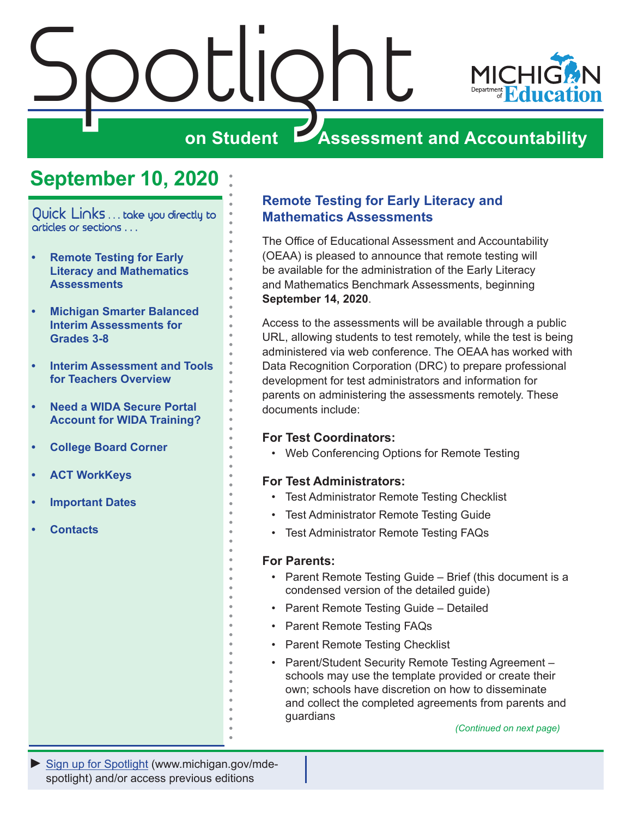<span id="page-0-0"></span>

# **September 10, 2020**

Quick Links . . . take you directly to articles or sections . . .

- **• Remote Testing for Early Literacy and Mathematics Assessments**
- **• [Michigan Smarter Balanced](#page-1-0)  [Interim Assessments for](#page-1-0)  [Grades 3-8](#page-1-0)**
- **• [Interim Assessment and Tools](#page-2-0)  [for Teachers Overview](#page-2-0)**
- **• [Need a WIDA Secure Portal](#page-3-0)  [Account for WIDA Training?](#page-3-0)**
- **• [College Board Corner](#page-4-0)**
- **• [ACT WorkKeys](#page-6-0)**
- **• [Important Dates](#page-8-0)**
- **• [Contacts](#page-9-0)**

## **Remote Testing for Early Literacy and Mathematics Assessments**

The Office of Educational Assessment and Accountability (OEAA) is pleased to announce that remote testing will be available for the administration of the Early Literacy and Mathematics Benchmark Assessments, beginning **September 14, 2020**.

Access to the assessments will be available through a public URL, allowing students to test remotely, while the test is being administered via web conference. The OEAA has worked with Data Recognition Corporation (DRC) to prepare professional development for test administrators and information for parents on administering the assessments remotely. These documents include:

### **For Test Coordinators:**

• Web Conferencing Options for Remote Testing

#### **For Test Administrators:**

- Test Administrator Remote Testing Checklist
- Test Administrator Remote Testing Guide
- Test Administrator Remote Testing FAQs

#### **For Parents:**

- Parent Remote Testing Guide Brief (this document is a condensed version of the detailed guide)
- Parent Remote Testing Guide Detailed
- Parent Remote Testing FAQs
- Parent Remote Testing Checklist
- Parent/Student Security Remote Testing Agreement schools may use the template provided or create their own; schools have discretion on how to disseminate and collect the completed agreements from parents and guardians

*(Continued on next page)*

*►* [Sign up for Spotlight](https://public.govdelivery.com/accounts/MIMDE/subscriber/new) [\(www.michigan.gov/mde](www.michigan.gov/mde-spotlight)spotlight) and/or access previous editions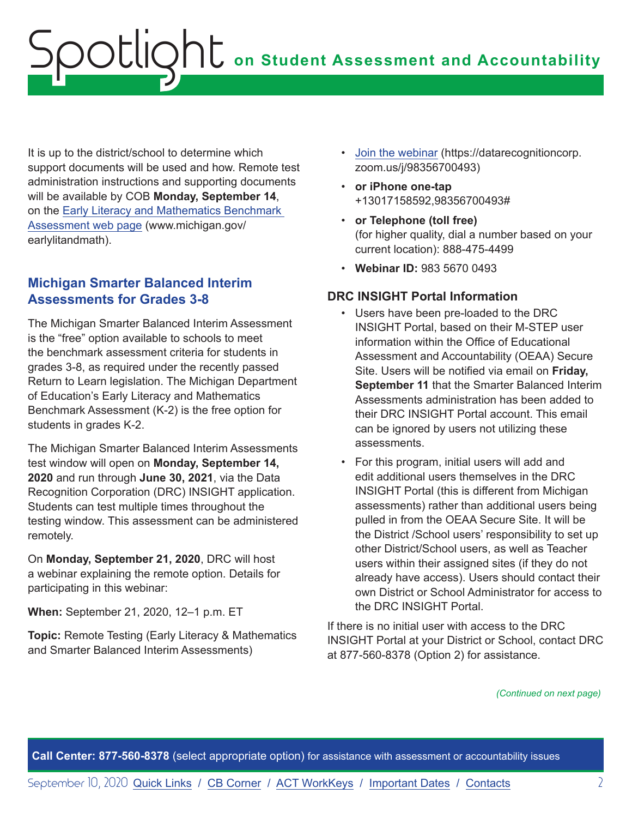<span id="page-1-0"></span>It is up to the district/school to determine which support documents will be used and how. Remote test administration instructions and supporting documents will be available by COB **Monday, September 14**, on the [Early Literacy and Mathematics Benchmark](www.michigan.gov/earlylitandmath)  [Assessment web page](www.michigan.gov/earlylitandmath) (www.michigan.gov/ earlylitandmath).

## **Michigan Smarter Balanced Interim Assessments for Grades 3-8**

The Michigan Smarter Balanced Interim Assessment is the "free" option available to schools to meet the benchmark assessment criteria for students in grades 3-8, as required under the recently passed Return to Learn legislation. The Michigan Department of Education's Early Literacy and Mathematics Benchmark Assessment (K-2) is the free option for students in grades K-2.

The Michigan Smarter Balanced Interim Assessments test window will open on **Monday, September 14, 2020** and run through **June 30, 2021**, via the Data Recognition Corporation (DRC) INSIGHT application. Students can test multiple times throughout the testing window. This assessment can be administered remotely.

On **Monday, September 21, 2020**, DRC will host a webinar explaining the remote option. Details for participating in this webinar:

**When:** September 21, 2020, 12–1 p.m. ET

**Topic:** Remote Testing (Early Literacy & Mathematics and Smarter Balanced Interim Assessments)

- [Join the webinar](https://datarecognitioncorp.zoom.us/j/98356700493) (https://datarecognitioncorp. zoom.us/j/98356700493)
- **or iPhone one-tap** +13017158592,98356700493#
- **or Telephone (toll free)** (for higher quality, dial a number based on your current location): 888-475-4499
- **Webinar ID:** 983 5670 0493

## **DRC INSIGHT Portal Information**

- Users have been pre-loaded to the DRC INSIGHT Portal, based on their M-STEP user information within the Office of Educational Assessment and Accountability (OEAA) Secure Site. Users will be notified via email on **Friday, September 11** that the Smarter Balanced Interim Assessments administration has been added to their DRC INSIGHT Portal account. This email can be ignored by users not utilizing these assessments.
- For this program, initial users will add and edit additional users themselves in the DRC INSIGHT Portal (this is different from Michigan assessments) rather than additional users being pulled in from the OEAA Secure Site. It will be the District /School users' responsibility to set up other District/School users, as well as Teacher users within their assigned sites (if they do not already have access). Users should contact their own District or School Administrator for access to the DRC INSIGHT Portal.

If there is no initial user with access to the DRC INSIGHT Portal at your District or School, contact DRC at 877-560-8378 (Option 2) for assistance.

*(Continued on next page)*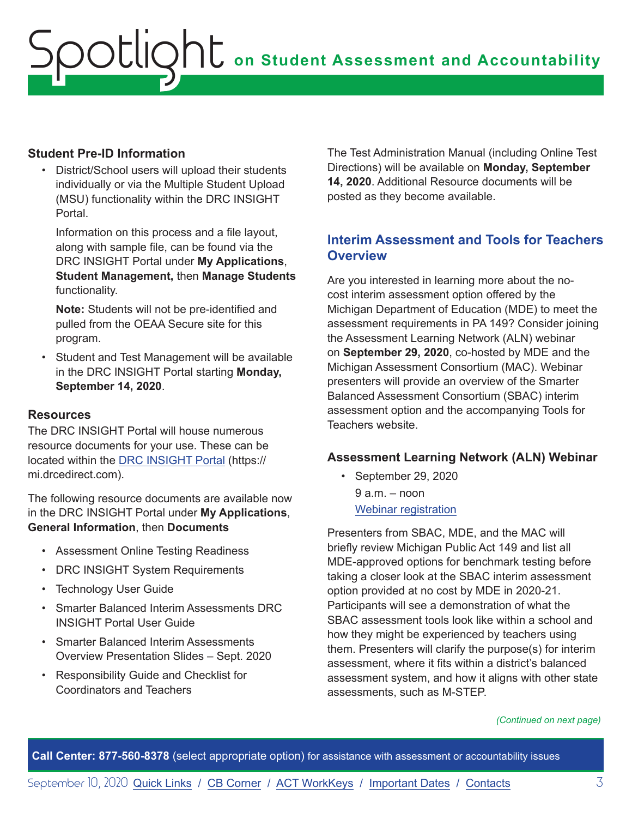### <span id="page-2-0"></span>**Student Pre-ID Information**

District/School users will upload their students individually or via the Multiple Student Upload (MSU) functionality within the DRC INSIGHT Portal.

Information on this process and a file layout, along with sample file, can be found via the DRC INSIGHT Portal under **My Applications**, **Student Management,** then **Manage Students**  functionality.

**Note:** Students will not be pre-identified and pulled from the OEAA Secure site for this program.

• Student and Test Management will be available in the DRC INSIGHT Portal starting **Monday, September 14, 2020**.

### **Resources**

The DRC INSIGHT Portal will house numerous resource documents for your use. These can be located within the [DRC INSIGHT Portal](https://mi.drcedirect.com) (https:// mi.drcedirect.com).

The following resource documents are available now in the DRC INSIGHT Portal under **My Applications**, **General Information**, then **Documents**

- Assessment Online Testing Readiness
- DRC INSIGHT System Requirements
- Technology User Guide
- Smarter Balanced Interim Assessments DRC INSIGHT Portal User Guide
- Smarter Balanced Interim Assessments Overview Presentation Slides – Sept. 2020
- Responsibility Guide and Checklist for Coordinators and Teachers

The Test Administration Manual (including Online Test Directions) will be available on **Monday, September 14, 2020**. Additional Resource documents will be posted as they become available.

## **Interim Assessment and Tools for Teachers Overview**

Are you interested in learning more about the nocost interim assessment option offered by the Michigan Department of Education (MDE) to meet the assessment requirements in PA 149? Consider joining the Assessment Learning Network (ALN) webinar on **September 29, 2020**, co-hosted by MDE and the Michigan Assessment Consortium (MAC). Webinar presenters will provide an overview of the Smarter Balanced Assessment Consortium (SBAC) interim assessment option and the accompanying Tools for Teachers website.

#### **Assessment Learning Network (ALN) Webinar**

• September 29, 2020 9 a.m. – noon [Webinar registration](https://www.michiganassessmentconsortium.org/event/interim-assessment-and-tools-for-teachers-overview/)

Presenters from SBAC, MDE, and the MAC will briefly review Michigan Public Act 149 and list all MDE-approved options for benchmark testing before taking a closer look at the SBAC interim assessment option provided at no cost by MDE in 2020-21. Participants will see a demonstration of what the SBAC assessment tools look like within a school and how they might be experienced by teachers using them. Presenters will clarify the purpose(s) for interim assessment, where it fits within a district's balanced assessment system, and how it aligns with other state assessments, such as M-STEP.

*(Continued on next page)*

**Call Center: 877-560-8378** (select appropriate option) for assistance with assessment or accountability issues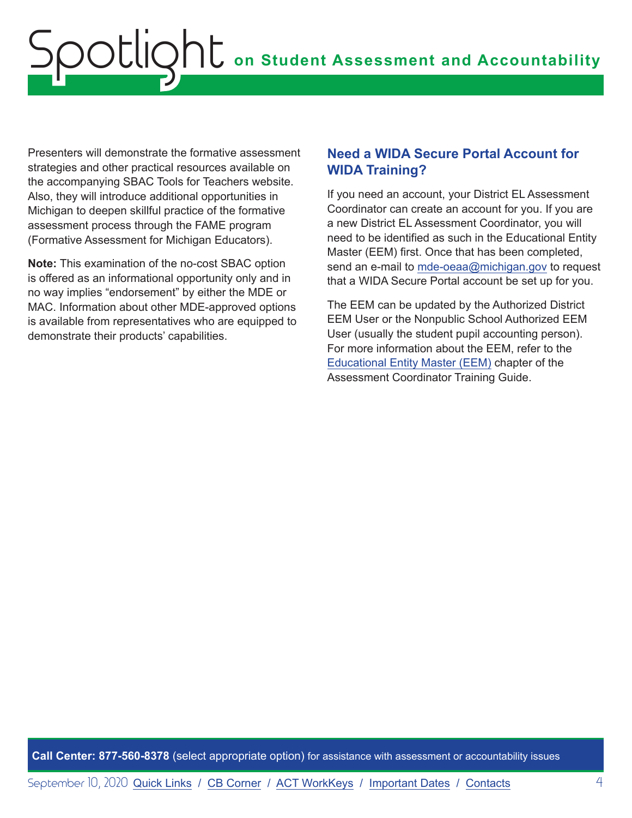<span id="page-3-0"></span>Presenters will demonstrate the formative assessment strategies and other practical resources available on the accompanying SBAC Tools for Teachers website. Also, they will introduce additional opportunities in Michigan to deepen skillful practice of the formative assessment process through the FAME program (Formative Assessment for Michigan Educators).

**Note:** This examination of the no-cost SBAC option is offered as an informational opportunity only and in no way implies "endorsement" by either the MDE or MAC. Information about other MDE-approved options is available from representatives who are equipped to demonstrate their products' capabilities.

## **Need a WIDA Secure Portal Account for WIDA Training?**

If you need an account, your District EL Assessment Coordinator can create an account for you. If you are a new District EL Assessment Coordinator, you will need to be identified as such in the Educational Entity Master (EEM) first. Once that has been completed, send an e-mail to [mde-oeaa@michigan.gov](mailto:mde-oeaa%40michigan.gov?subject=) to request that a WIDA Secure Portal account be set up for you.

The EEM can be updated by the Authorized District EEM User or the Nonpublic School Authorized EEM User (usually the student pupil accounting person). For more information about the EEM, refer to the [Educational Entity Master \(EEM\)](https://www.michigan.gov/documents/mde/Educational_Entity_Master_EEM_634435_7.pdf) chapter of the Assessment Coordinator Training Guide.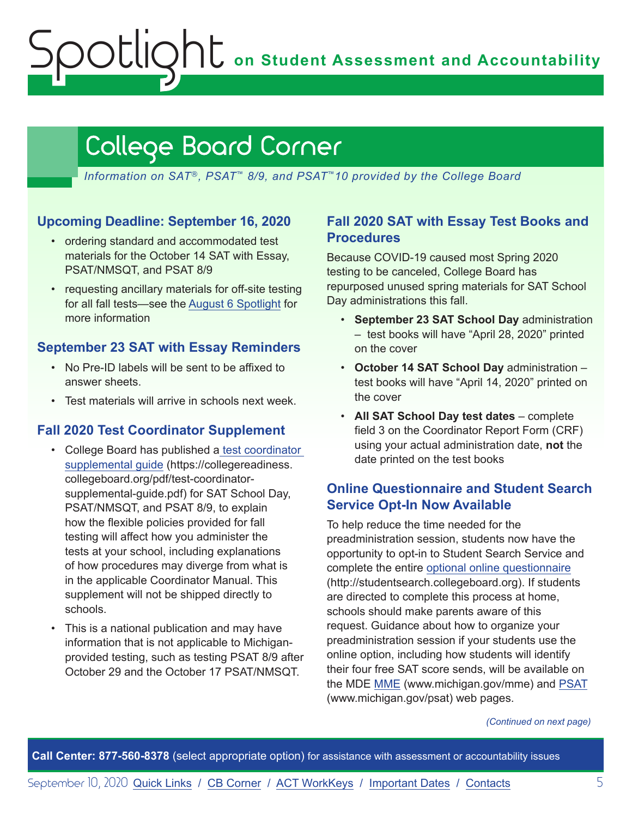**on Student Assessment and Accountability**

# <span id="page-4-1"></span>College Board Corner

*Information on SAT*®*, PSAT*™ *8/9, and PSAT*™*10 provided by the College Board*

### **Upcoming Deadline: September 16, 2020**

<span id="page-4-0"></span>Spotlight

- ordering standard and accommodated test materials for the October 14 SAT with Essay, PSAT/NMSQT, and PSAT 8/9
- requesting ancillary materials for off-site testing for all fall tests—see the [August 6 Spotlight](https://www.michigan.gov/documents/mde/Spotlight_8-6-20_698659_7.pdf) for more information

### **September 23 SAT with Essay Reminders**

- No Pre-ID labels will be sent to be affixed to answer sheets.
- Test materials will arrive in schools next week.

### **Fall 2020 Test Coordinator Supplement**

- College Board has published a [test coordinator](https://collegereadiness.collegeboard.org/pdf/test-coordinator-supplemental-guide.pdf)  [supplemental guide](https://collegereadiness.collegeboard.org/pdf/test-coordinator-supplemental-guide.pdf) (https://collegereadiness. collegeboard.org/pdf/test-coordinatorsupplemental-guide.pdf) for SAT School Day, PSAT/NMSQT, and PSAT 8/9, to explain how the flexible policies provided for fall testing will affect how you administer the tests at your school, including explanations of how procedures may diverge from what is in the applicable Coordinator Manual. This supplement will not be shipped directly to schools.
- This is a national publication and may have information that is not applicable to Michiganprovided testing, such as testing PSAT 8/9 after October 29 and the October 17 PSAT/NMSQT.

## **Fall 2020 SAT with Essay Test Books and Procedures**

Because COVID-19 caused most Spring 2020 testing to be canceled, College Board has repurposed unused spring materials for SAT School Day administrations this fall.

- **September 23 SAT School Day** administration – test books will have "April 28, 2020" printed on the cover
- **October 14 SAT School Day** administration test books will have "April 14, 2020" printed on the cover
- **All SAT School Day test dates** complete field 3 on the Coordinator Report Form (CRF) using your actual administration date, **not** the date printed on the test books

## **Online Questionnaire and Student Search Service Opt-In Now Available**

To help reduce the time needed for the preadministration session, students now have the opportunity to opt-in to Student Search Service and complete the entire [optional online questionnaire](http://studentsearch.collegeboard.org) (http://studentsearch.collegeboard.org). If students are directed to complete this process at home, schools should make parents aware of this request. Guidance about how to organize your preadministration session if your students use the online option, including how students will identify their four free SAT score sends, will be available on the MDE [MME](www.michigan.gov/mme) (www.michigan.gov/mme) and [PSAT](http://www.michigan.gov/psat) (www.michigan.gov/psat) web pages.

*(Continued on next page)*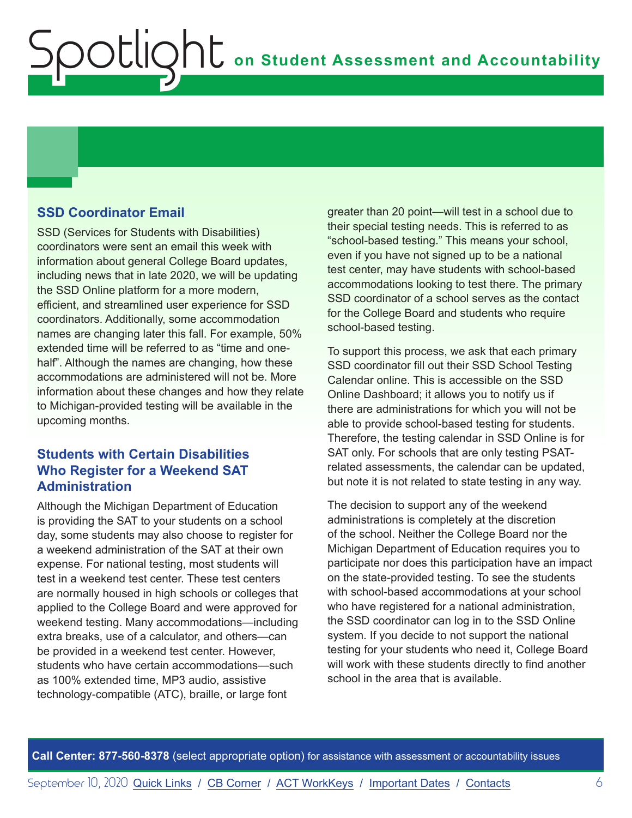## **SSD Coordinator Email**

Spotlight

SSD (Services for Students with Disabilities) coordinators were sent an email this week with information about general College Board updates, including news that in late 2020, we will be updating the SSD Online platform for a more modern, efficient, and streamlined user experience for SSD coordinators. Additionally, some accommodation names are changing later this fall. For example, 50% extended time will be referred to as "time and onehalf". Although the names are changing, how these accommodations are administered will not be. More information about these changes and how they relate to Michigan-provided testing will be available in the upcoming months.

### **Students with Certain Disabilities Who Register for a Weekend SAT Administration**

Although the Michigan Department of Education is providing the SAT to your students on a school day, some students may also choose to register for a weekend administration of the SAT at their own expense. For national testing, most students will test in a weekend test center. These test centers are normally housed in high schools or colleges that applied to the College Board and were approved for weekend testing. Many accommodations—including extra breaks, use of a calculator, and others—can be provided in a weekend test center. However, students who have certain accommodations—such as 100% extended time, MP3 audio, assistive technology-compatible (ATC), braille, or large font

greater than 20 point—will test in a school due to their special testing needs. This is referred to as "school-based testing." This means your school, even if you have not signed up to be a national test center, may have students with school-based accommodations looking to test there. The primary SSD coordinator of a school serves as the contact for the College Board and students who require school-based testing.

To support this process, we ask that each primary SSD coordinator fill out their SSD School Testing Calendar online. This is accessible on the SSD Online Dashboard; it allows you to notify us if there are administrations for which you will not be able to provide school-based testing for students. Therefore, the testing calendar in SSD Online is for SAT only. For schools that are only testing PSATrelated assessments, the calendar can be updated, but note it is not related to state testing in any way.

The decision to support any of the weekend administrations is completely at the discretion of the school. Neither the College Board nor the Michigan Department of Education requires you to participate nor does this participation have an impact on the state-provided testing. To see the students with school-based accommodations at your school who have registered for a national administration, the SSD coordinator can log in to the SSD Online system. If you decide to not support the national testing for your students who need it, College Board will work with these students directly to find another school in the area that is available.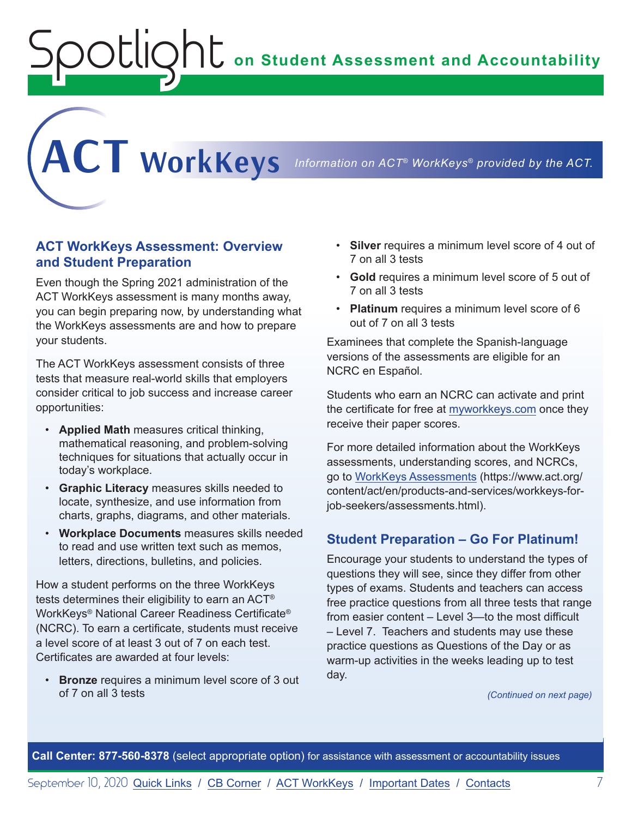**on Student Assessment and Accountability**

<span id="page-6-1"></span>**ACT WorkKeys** *Information on ACT® WorkKeys® provided by the ACT.*

**ACT WorkKeys Assessment: Overview and Student Preparation**

<span id="page-6-0"></span>Spotlight

Even though the Spring 2021 administration of the ACT WorkKeys assessment is many months away, you can begin preparing now, by understanding what the WorkKeys assessments are and how to prepare your students.

The ACT WorkKeys assessment consists of three tests that measure real-world skills that employers consider critical to job success and increase career opportunities:

- **Applied Math** measures critical thinking, mathematical reasoning, and problem-solving techniques for situations that actually occur in today's workplace.
- **Graphic Literacy** measures skills needed to locate, synthesize, and use information from charts, graphs, diagrams, and other materials.
- **Workplace Documents** measures skills needed to read and use written text such as memos, letters, directions, bulletins, and policies.

How a student performs on the three WorkKeys tests determines their eligibility to earn an ACT® WorkKeys® National Career Readiness Certificate® (NCRC). To earn a certificate, students must receive a level score of at least 3 out of 7 on each test. Certificates are awarded at four levels:

• **Bronze** requires a minimum level score of 3 out of 7 on all 3 tests

- **Silver** requires a minimum level score of 4 out of 7 on all 3 tests
- **Gold** requires a minimum level score of 5 out of 7 on all 3 tests
- **Platinum** requires a minimum level score of 6 out of 7 on all 3 tests

Examinees that complete the Spanish-language versions of the assessments are eligible for an NCRC en Español.

Students who earn an NCRC can activate and print the certificate for free at [myworkkeys.com](http://www.myworkkeys.com) once they receive their paper scores.

For more detailed information about the WorkKeys assessments, understanding scores, and NCRCs, go to [WorkKeys Assessments](https://www.act.org/content/act/en/products-and-services/workkeys-for-job-seekers/assessments.html) (https://www.act.org/ content/act/en/products-and-services/workkeys-forjob-seekers/assessments.html).

### **Student Preparation – Go For Platinum!**

Encourage your students to understand the types of questions they will see, since they differ from other types of exams. Students and teachers can access free practice questions from all three tests that range from easier content – Level 3—to the most difficult – Level 7. Teachers and students may use these practice questions as Questions of the Day or as warm-up activities in the weeks leading up to test day.

*(Continued on next page)*

**Call Center: 877-560-8378** (select appropriate option) for assistance with assessment or accountability issues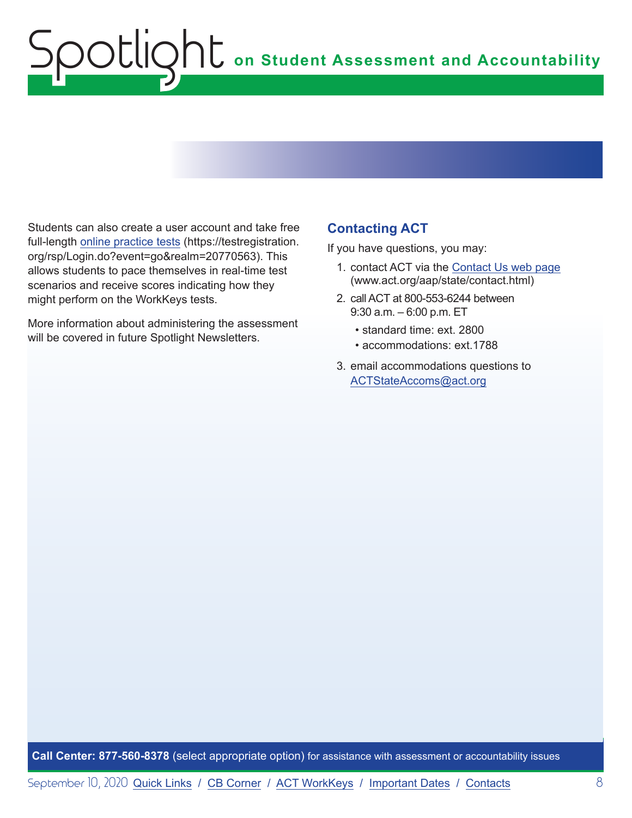Students can also create a user account and take free full-length [online practice tests](https://testregistration.org/rsp/Login.do?event=go&realm=20770563) (https://testregistration. org/rsp/Login.do?event=go&realm=20770563). This allows students to pace themselves in real-time test scenarios and receive scores indicating how they might perform on the WorkKeys tests.

More information about administering the assessment will be covered in future Spotlight Newsletters.

## **Contacting ACT**

If you have questions, you may:

- 1. contact ACT via the [Contact Us web page](http://www.act.org/aap/state/contact.html) [\(www.act.org/aap/state/contact.html\)](https://www.act.org/aap/state/contact.html)
- 2. call ACT at 800-553-6244 between 9:30 a.m. – 6:00 p.m. ET
	- standard time: ext. 2800
	- accommodations: ext.1788
- 3. email accommodations questions to [ACTStateAccoms@act.org](mailto:ACTStateAccoms%40act.org?subject=)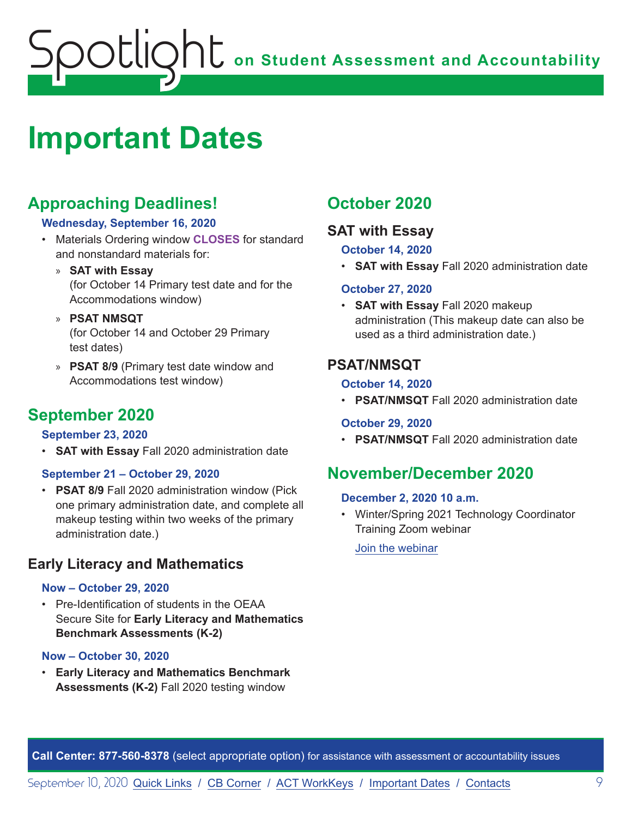# <span id="page-8-1"></span><span id="page-8-0"></span>**Important Dates**

# **Approaching Deadlines!**

### **Wednesday, September 16, 2020**

- Materials Ordering window **CLOSES** for standard and nonstandard materials for:
	- » **SAT with Essay** (for October 14 Primary test date and for the Accommodations window)
	- » **PSAT NMSQT** (for October 14 and October 29 Primary test dates)
	- » **PSAT 8/9** (Primary test date window and Accommodations test window)

# **September 2020**

### **September 23, 2020**

• **SAT with Essay** Fall 2020 administration date

### **September 21 – October 29, 2020**

• **PSAT 8/9** Fall 2020 administration window (Pick one primary administration date, and complete all makeup testing within two weeks of the primary administration date.)

# **Early Literacy and Mathematics**

#### **Now – October 29, 2020**

• Pre-Identification of students in the OEAA Secure Site for **Early Literacy and Mathematics Benchmark Assessments (K-2)**

#### **Now – October 30, 2020**

• **Early Literacy and Mathematics Benchmark Assessments (K-2)** Fall 2020 testing window

# **October 2020**

## **SAT with Essay**

### **October 14, 2020**

• **SAT with Essay** Fall 2020 administration date

### **October 27, 2020**

• **SAT with Essay** Fall 2020 makeup administration (This makeup date can also be used as a third administration date.)

# **PSAT/NMSQT**

### **October 14, 2020**

• **PSAT/NMSQT** Fall 2020 administration date

### **October 29, 2020**

• **PSAT/NMSQT** Fall 2020 administration date

# **November/December 2020**

#### **December 2, 2020 10 a.m.**

• Winter/Spring 2021 Technology Coordinator Training Zoom webinar

[Join the webinar](https://datarecognitioncorp.zoom.us/j/99441419689)

**Call Center: 877-560-8378** (select appropriate option) for assistance with assessment or accountability issues